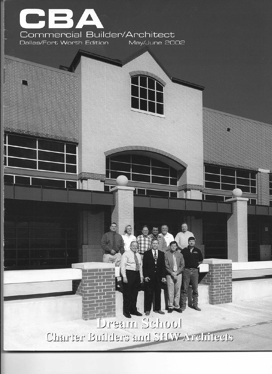

**ANTIQUALITA DE LA PERSONA DE LA PERSONA DE LA PERSONA DE LA PERSONA DE LA PERSONA DE LA PERSONA DE LA PERSONA** 

Dream School Charter Builders and SHW Architects